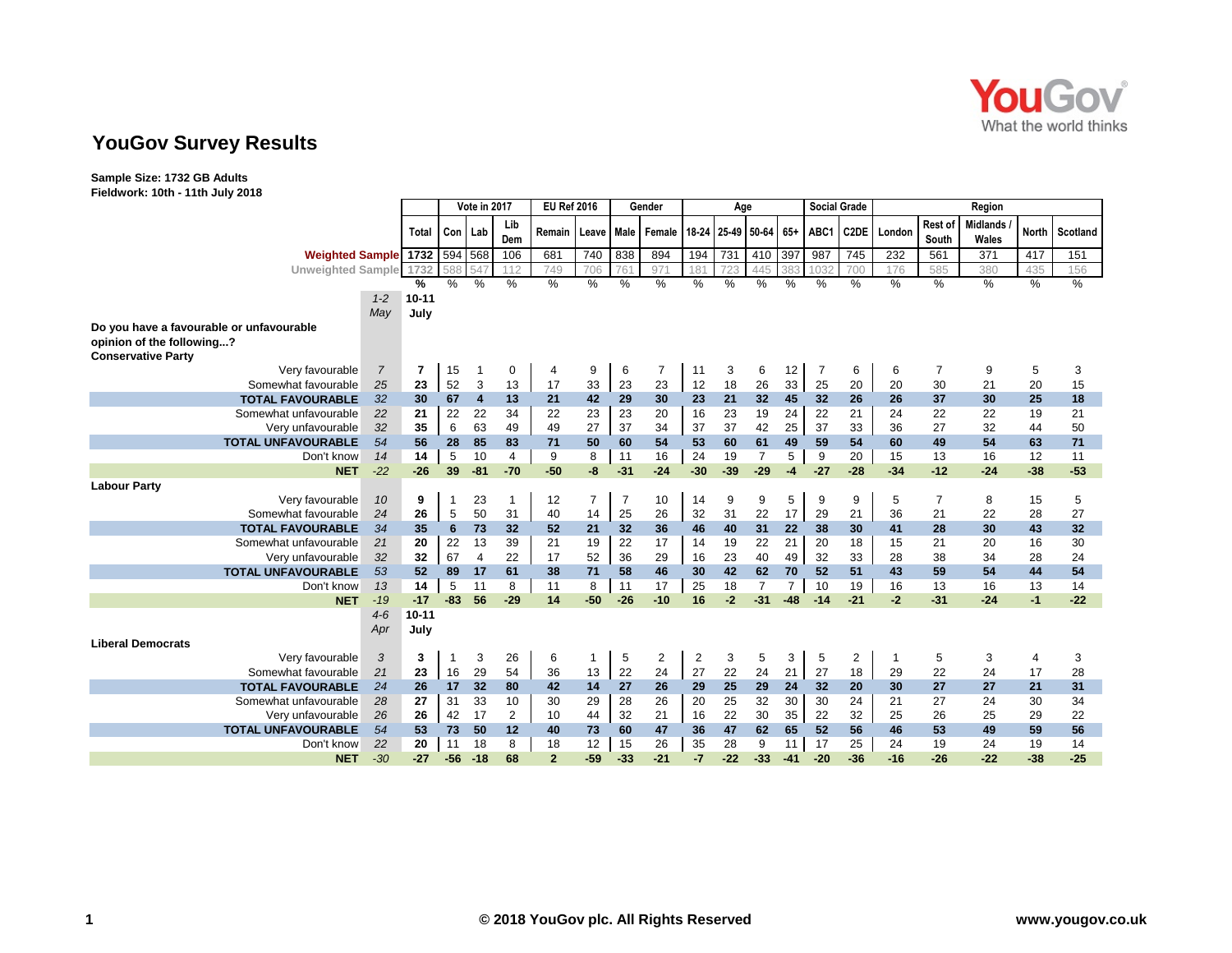

## **YouGov Survey Results**

**Sample Size: 1732 GB Adults Fieldwork: 10th - 11th July 2018**

|                                          |                                  |       | Vote in 2017 |       |                | <b>EU Ref 2016</b> |                | Gender |                | Age                     |       |                 |       | <b>Social Grade</b> |                   | Region |                  |                          |              |          |
|------------------------------------------|----------------------------------|-------|--------------|-------|----------------|--------------------|----------------|--------|----------------|-------------------------|-------|-----------------|-------|---------------------|-------------------|--------|------------------|--------------------------|--------------|----------|
|                                          | Total                            |       | Con Lab      |       | Lib<br>Dem     | Remain             | Leave          | Male   | Female         | 18-24                   |       | 25-49 50-64 65+ |       | ABC1                | C <sub>2</sub> DE | London | Rest of<br>South | <b>Midlands</b><br>Wales | <b>North</b> | Scotland |
| <b>Weighted Sample 1732 594 568</b>      |                                  |       |              |       | 106            | 681                | 740            | 838    | 894            | 194                     | 731   | 410             | 397   | 987                 | 745               | 232    | 561              | 371                      | 417          | 151      |
| <b>Unweighted Sample</b>                 | 1732                             |       | 588          |       | 112            | 749                | 706            | 76'    | 971            | 181                     | 723   | 44!             | 38.   | 1032                | 700               | 176    | 585              | 380                      | 435          | 156      |
|                                          | %                                |       | %            | $\%$  | $\%$           | %                  | $\frac{0}{0}$  | $\%$   | $\%$           | %                       | $\%$  | %               | %     | $\%$                | $\%$              | $\%$   | $\%$             | $\frac{0}{0}$            | $\%$         | $\%$     |
|                                          | $10 - 11$<br>$1 - 2$             |       |              |       |                |                    |                |        |                |                         |       |                 |       |                     |                   |        |                  |                          |              |          |
|                                          | May<br>July                      |       |              |       |                |                    |                |        |                |                         |       |                 |       |                     |                   |        |                  |                          |              |          |
| Do you have a favourable or unfavourable |                                  |       |              |       |                |                    |                |        |                |                         |       |                 |       |                     |                   |        |                  |                          |              |          |
| opinion of the following?                |                                  |       |              |       |                |                    |                |        |                |                         |       |                 |       |                     |                   |        |                  |                          |              |          |
| <b>Conservative Party</b>                |                                  |       |              |       |                |                    |                |        |                |                         |       |                 |       |                     |                   |        |                  |                          |              |          |
| Very favourable                          | $\overline{7}$<br>$\overline{7}$ |       | 15           | -1    | 0              | 4                  | 9              | 6      | $\overline{7}$ | 11                      | 3     | 6               | 12    | 7                   | 6                 | 6      | $\overline{7}$   | 9                        | 5            | 3        |
| Somewhat favourable                      | 25<br>23                         |       | 52           | 3     | 13             | 17                 | 33             | 23     | 23             | 12                      | 18    | 26              | 33    | 25                  | 20                | 20     | 30               | 21                       | 20           | 15       |
| <b>TOTAL FAVOURABLE</b>                  | 32<br>30                         |       | 67           | 4     | 13             | 21                 | 42             | 29     | 30             | 23                      | 21    | 32              | 45    | 32                  | 26                | 26     | 37               | 30                       | 25           | 18       |
| Somewhat unfavourable                    | 22<br>21                         |       | 22           | 22    | 34             | 22                 | 23             | 23     | 20             | 16                      | 23    | 19              | 24    | 22                  | 21                | 24     | 22               | 22                       | 19           | 21       |
| Very unfavourable                        | 32<br>35                         |       | 6            | 63    | 49             | 49                 | 27             | 37     | 34             | 37                      | 37    | 42              | 25    | 37                  | 33                | 36     | 27               | 32                       | 44           | 50       |
| <b>TOTAL UNFAVOURABLE</b>                | 54<br>56                         |       | 28           | 85    | 83             | 71                 | 50             | 60     | 54             | 53                      | 60    | 61              | 49    | 59                  | 54                | 60     | 49               | 54                       | 63           | $71$     |
| Don't know                               | 14<br>14                         |       | 5            | 10    | 4              | 9                  | 8              | 11     | 16             | 24                      | 19    | $\overline{7}$  | 5     | 9                   | 20                | 15     | 13               | 16                       | 12           | 11       |
| <b>NET</b>                               | $-22$                            | $-26$ | 39           | $-81$ | $-70$          | $-50$              | -8             | $-31$  | $-24$          | $-30$                   | $-39$ | $-29$           | -4    | $-27$               | $-28$             | $-34$  | $-12$            | $-24$                    | $-38$        | $-53$    |
| <b>Labour Party</b>                      |                                  |       |              |       |                |                    |                |        |                |                         |       |                 |       |                     |                   |        |                  |                          |              |          |
| Very favourable                          | 10<br>9                          |       | -1           | 23    | 1              | 12                 | $\overline{7}$ | 7      | 10             | 14                      | 9     | 9               | 5     | 9                   | 9                 | 5      | $\overline{7}$   | 8                        | 15           | 5        |
| Somewhat favourable                      | 24<br>26                         |       | 5            | 50    | 31             | 40                 | 14             | 25     | 26             | 32                      | 31    | 22              | 17    | 29                  | 21                | 36     | 21               | 22                       | 28           | 27       |
| <b>TOTAL FAVOURABLE</b>                  | 35<br>34                         |       | 6            | 73    | 32             | 52                 | 21             | 32     | 36             | 46                      | 40    | 31              | 22    | 38                  | 30                | 41     | 28               | 30                       | 43           | 32       |
| Somewhat unfavourable                    | 20<br>21                         |       | 22           | 13    | 39             | 21                 | 19             | 22     | 17             | 14                      | 19    | 22              | 21    | 20                  | 18                | 15     | 21               | 20                       | 16           | 30       |
| Very unfavourable                        | 32<br>32                         |       | 67           | 4     | 22             | 17                 | 52             | 36     | 29             | 16                      | 23    | 40              | 49    | 32                  | 33                | 28     | 38               | 34                       | 28           | 24       |
| <b>TOTAL UNFAVOURABLE</b>                | 53<br>52                         |       | 89           | 17    | 61             | 38                 | 71             | 58     | 46             | 30                      | 42    | 62              | 70    | 52                  | 51                | 43     | 59               | 54                       | 44           | 54       |
| Don't know                               | 14<br>13                         |       | 5            | 11    | 8              | 11                 | 8              | 11     | 17             | 25                      | 18    | $\overline{7}$  | 7     | 10                  | 19                | 16     | 13               | 16                       | 13           | 14       |
| <b>NET</b>                               | $-19$                            | $-17$ | $-83$        | 56    | $-29$          | 14                 | $-50$          | $-26$  | $-10$          | 16                      | $-2$  | $-31$           | $-48$ | $-14$               | $-21$             | $-2$   | $-31$            | $-24$                    | $-1$         | $-22$    |
|                                          | $4-6$<br>$10 - 11$               |       |              |       |                |                    |                |        |                |                         |       |                 |       |                     |                   |        |                  |                          |              |          |
|                                          | Apr<br>July                      |       |              |       |                |                    |                |        |                |                         |       |                 |       |                     |                   |        |                  |                          |              |          |
| <b>Liberal Democrats</b>                 |                                  |       |              |       |                |                    |                |        |                |                         |       |                 |       |                     |                   |        |                  |                          |              |          |
| Very favourable                          | 3<br>3                           |       | $\mathbf 1$  | 3     | 26             | 6                  | 1              | 5      | $\overline{2}$ | $\overline{\mathbf{c}}$ | 3     | 5               | 3     | 5                   | $\overline{2}$    |        | 5                | 3                        | 4            | 3        |
| Somewhat favourable                      | 23<br>21                         |       | 16           | 29    | 54             | 36                 | 13             | 22     | 24             | 27                      | 22    | 24              | 21    | 27                  | 18                | 29     | 22               | 24                       | 17           | 28       |
| <b>TOTAL FAVOURABLE</b>                  | 24<br>26                         |       | 17           | 32    | 80             | 42                 | 14             | 27     | 26             | 29                      | 25    | 29              | 24    | 32                  | 20                | 30     | 27               | 27                       | 21           | 31       |
| Somewhat unfavourable                    | 27<br>28                         |       | 31           | 33    | 10             | 30                 | 29             | 28     | 26             | 20                      | 25    | 32              | 30    | 30                  | 24                | 21     | 27               | 24                       | 30           | 34       |
| Very unfavourable                        | 26<br>26                         |       | 42           | 17    | $\overline{2}$ | 10                 | 44             | 32     | 21             | 16                      | 22    | 30              | 35    | 22                  | 32                | 25     | 26               | 25                       | 29           | 22       |
| <b>TOTAL UNFAVOURABLE</b>                | 54<br>53                         |       | 73           | 50    | 12             | 40                 | 73             | 60     | 47             | 36                      | 47    | 62              | 65    | 52                  | 56                | 46     | 53               | 49                       | 59           | 56       |
| Don't know                               | 22<br>20                         |       | 11           | 18    | 8              | 18                 | 12             | 15     | 26             | 35                      | 28    | 9               | 11    | 17                  | 25                | 24     | 19               | 24                       | 19           | 14       |
| <b>NET</b>                               | $-30$<br>$-27$                   |       | $-56$        | $-18$ | 68             | $\overline{2}$     | $-59$          | $-33$  | $-21$          | $-7$                    | $-22$ | $-33$           | $-41$ | $-20$               | $-36$             | $-16$  | $-26$            | $-22$                    | $-38$        | $-25$    |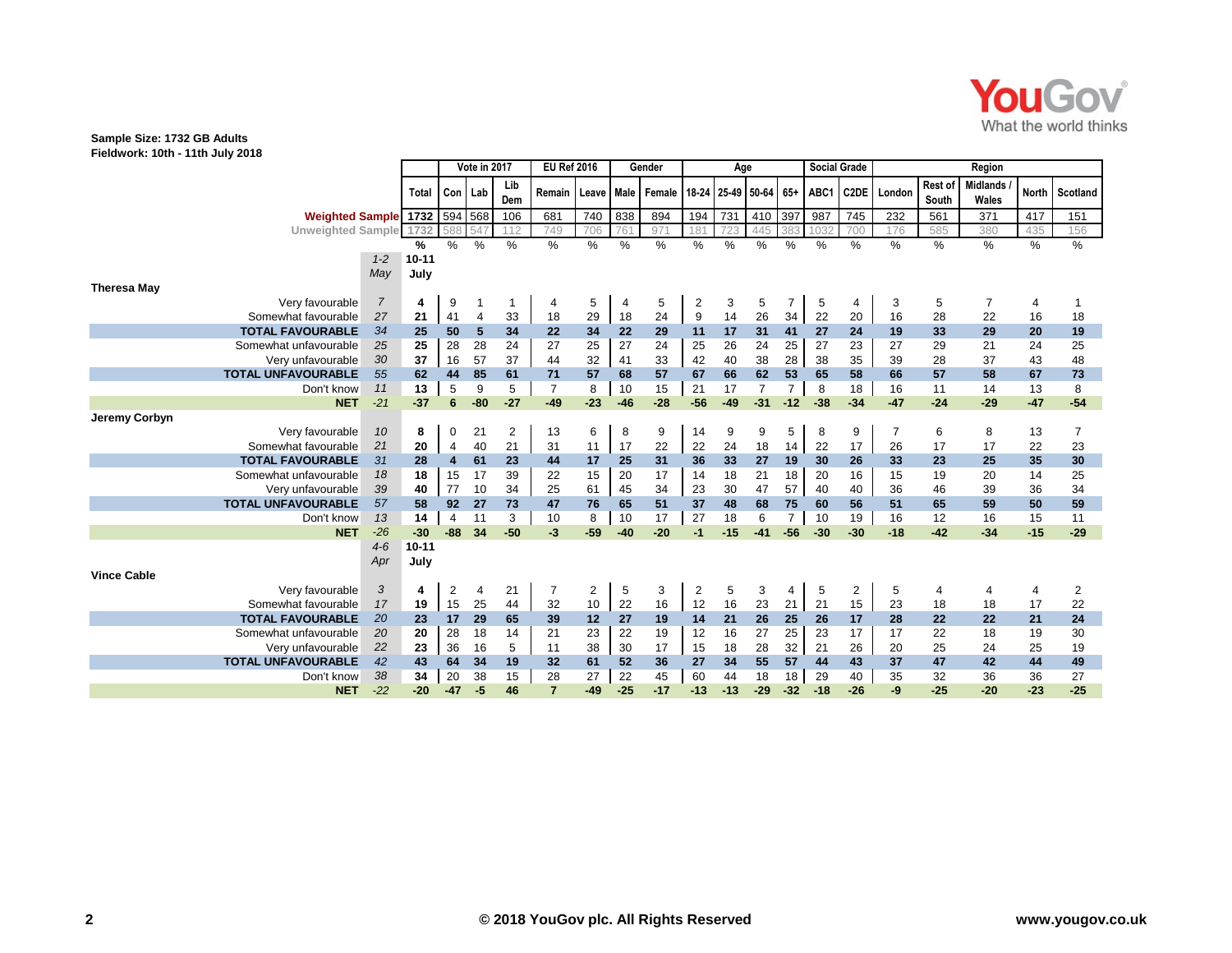

## **Sample Size: 1732 GB Adults Fieldwork: 10th - 11th July 2018**

|                           |                        | Vote in 2017 |                  |                |            | <b>EU Ref 2016</b> |                | Gender      |        | Age                     |       |                 |                | <b>Social Grade</b> |                  | Region         |                  |                          |              |          |  |
|---------------------------|------------------------|--------------|------------------|----------------|------------|--------------------|----------------|-------------|--------|-------------------------|-------|-----------------|----------------|---------------------|------------------|----------------|------------------|--------------------------|--------------|----------|--|
|                           |                        | <b>Total</b> | Con   Lab        |                | Lib<br>Dem | Remain             | Leave          | <b>Male</b> | Female | 18-24                   |       | 25-49 50-64 65+ |                | ABC1                | C2DE             | London         | Rest of<br>South | <b>Midlands</b><br>Wales | <b>North</b> | Scotland |  |
|                           | <b>Weighted Sample</b> | 1732         | 594 568          |                | 106        | 681                | 740            | 838         | 894    | 194                     | 731   | 410             | 397            | 987                 | $\overline{745}$ | 232            | 561              | 371                      | 417          | 151      |  |
| <b>Unweighted Sample</b>  |                        | 1732         | 588              | 54             | 112        | 749                | 706            | 761         | 971    | 181                     | 723   | 445             | 383            | 1032                | 700              | 176            | 585              | 380                      | 435          | 156      |  |
|                           |                        | %            | %                | %              | %          | %                  | $\%$           | %           | %      | %                       | $\%$  | %               | %              | %                   | %                | $\%$           | %                | $\frac{9}{6}$            | %            | $\%$     |  |
|                           | $1 - 2$                | $10 - 11$    |                  |                |            |                    |                |             |        |                         |       |                 |                |                     |                  |                |                  |                          |              |          |  |
|                           | May                    | July         |                  |                |            |                    |                |             |        |                         |       |                 |                |                     |                  |                |                  |                          |              |          |  |
| <b>Theresa May</b>        |                        |              |                  |                |            |                    |                |             |        |                         |       |                 |                |                     |                  |                |                  |                          |              |          |  |
| Very favourable           | $\overline{7}$         | 4            | 9                | -1             | 1          | 4                  | 5              | 4           | 5      | 2                       | 3     | 5               | 7              | 5                   | 4                | 3              | 5                | $\overline{7}$           | 4            |          |  |
| Somewhat favourable       | 27                     | 21           | 41               | $\overline{4}$ | 33         | 18                 | 29             | 18          | 24     | 9                       | 14    | 26              | 34             | 22                  | 20               | 16             | 28               | 22                       | 16           | 18       |  |
| <b>TOTAL FAVOURABLE</b>   | 34                     | 25           | 50               | 5              | 34         | 22                 | 34             | 22          | 29     | 11                      | 17    | 31              | 41             | 27                  | 24               | 19             | 33               | 29                       | 20           | 19       |  |
| Somewhat unfavourable     | 25                     | 25           | 28               | 28             | 24         | 27                 | 25             | 27          | 24     | 25                      | 26    | 24              | 25             | 27                  | 23               | 27             | 29               | 21                       | 24           | 25       |  |
| Very unfavourable         | 30                     | 37           | 16               | 57             | 37         | 44                 | 32             | 41          | 33     | 42                      | 40    | 38              | 28             | 38                  | 35               | 39             | 28               | 37                       | 43           | 48       |  |
| <b>TOTAL UNFAVOURABLE</b> | 55                     | 62           | 44               | 85             | 61         | 71                 | 57             | 68          | 57     | 67                      | 66    | 62              | 53             | 65                  | 58               | 66             | 57               | 58                       | 67           | 73       |  |
| Don't know                | 11                     | 13           | 5                | 9              | 5          | $\overline{7}$     | 8              | 10          | 15     | 21                      | 17    | $\overline{7}$  | $\overline{7}$ | 8                   | 18               | 16             | 11               | 14                       | 13           | 8        |  |
| <b>NET</b>                | $-21$                  | $-37$        | 6                | $-80$          | $-27$      | $-49$              | $-23$          | $-46$       | $-28$  | $-56$                   | $-49$ | $-31$           | $-12$          | $-38$               | $-34$            | $-47$          | $-24$            | $-29$                    | $-47$        | $-54$    |  |
| Jeremy Corbyn             |                        |              |                  |                |            |                    |                |             |        |                         |       |                 |                |                     |                  |                |                  |                          |              |          |  |
| Very favourable           | 10                     | 8            | 0                | 21             | 2          | 13                 | 6              | 8           | 9      | 14                      | 9     | 9               | 5              | 8                   | 9                | $\overline{7}$ | 6                | 8                        | 13           | 7        |  |
| Somewhat favourable       | 21                     | 20           | $\overline{4}$   | 40             | 21         | 31                 | 11             | 17          | 22     | 22                      | 24    | 18              | 14             | 22                  | 17               | 26             | 17               | 17                       | 22           | 23       |  |
| <b>TOTAL FAVOURABLE</b>   | 31                     | 28           | $\boldsymbol{4}$ | 61             | 23         | 44                 | 17             | 25          | 31     | 36                      | 33    | 27              | 19             | 30                  | 26               | 33             | 23               | 25                       | 35           | 30       |  |
| Somewhat unfavourable     | 18                     | 18           | 15               | 17             | 39         | 22                 | 15             | 20          | 17     | 14                      | 18    | 21              | 18             | 20                  | 16               | 15             | 19               | 20                       | 14           | 25       |  |
| Very unfavourable         | 39                     | 40           | 77               | 10             | 34         | 25                 | 61             | 45          | 34     | 23                      | 30    | 47              | 57             | 40                  | 40               | 36             | 46               | 39                       | 36           | 34       |  |
| <b>TOTAL UNFAVOURABLE</b> | 57                     | 58           | 92               | 27             | 73         | 47                 | 76             | 65          | 51     | 37                      | 48    | 68              | 75             | 60                  | 56               | 51             | 65               | 59                       | 50           | 59       |  |
| Don't know                | 13                     | 14           | $\overline{4}$   | 11             | 3          | 10                 | 8              | 10          | 17     | 27                      | 18    | 6               | $\overline{7}$ | 10                  | 19               | 16             | 12               | 16                       | 15           | 11       |  |
| <b>NET</b>                | $-26$                  | $-30$        | $-88$            | 34             | $-50$      | $-3$               | $-59$          | $-40$       | $-20$  | $-1$                    | $-15$ | $-41$           | $-56$          | $-30$               | $-30$            | $-18$          | $-42$            | $-34$                    | $-15$        | $-29$    |  |
|                           | $4-6$                  | $10 - 11$    |                  |                |            |                    |                |             |        |                         |       |                 |                |                     |                  |                |                  |                          |              |          |  |
|                           | Apr                    | July         |                  |                |            |                    |                |             |        |                         |       |                 |                |                     |                  |                |                  |                          |              |          |  |
| <b>Vince Cable</b>        |                        |              |                  |                |            |                    |                |             |        |                         |       |                 |                |                     |                  |                |                  |                          |              |          |  |
| Very favourable           | 3                      | 4            | 2                | 4              | 21         | $\overline{7}$     | $\overline{c}$ | 5           | 3      | $\overline{\mathbf{c}}$ | 5     | 3               | 4              | 5                   | 2                | 5              | 4                | 4                        | 4            | 2        |  |
| Somewhat favourable       | 17                     | 19           | 15               | 25             | 44         | 32                 | 10             | 22          | 16     | 12                      | 16    | 23              | 21             | 21                  | 15               | 23             | 18               | 18                       | 17           | 22       |  |
| <b>TOTAL FAVOURABLE</b>   | 20                     | 23           | 17               | 29             | 65         | 39                 | 12             | 27          | 19     | 14                      | 21    | 26              | 25             | 26                  | 17               | 28             | 22               | 22                       | 21           | 24       |  |
| Somewhat unfavourable     | 20                     | 20           | 28               | 18             | 14         | 21                 | 23             | 22          | 19     | 12                      | 16    | 27              | 25             | 23                  | 17               | 17             | 22               | 18                       | 19           | 30       |  |
| Very unfavourable         | 22                     | 23           | 36               | 16             | 5          | 11                 | 38             | 30          | 17     | 15                      | 18    | 28              | 32             | 21                  | 26               | 20             | 25               | 24                       | 25           | 19       |  |
| <b>TOTAL UNFAVOURABLE</b> | 42                     | 43           | 64               | 34             | 19         | 32                 | 61             | 52          | 36     | 27                      | 34    | 55              | 57             | 44                  | 43               | 37             | 47               | 42                       | 44           | 49       |  |
| Don't know                | 38                     | 34           | 20               | 38             | 15         | 28                 | 27             | 22          | 45     | 60                      | 44    | 18              | 18             | 29                  | 40               | 35             | 32               | 36                       | 36           | 27       |  |
| <b>NET</b>                | $-22$                  | $-20$        | $-47$            | $-5$           | 46         | $\overline{7}$     | $-49$          | $-25$       | $-17$  | $-13$                   | $-13$ | $-29$           | $-32$          | $-18$               | $-26$            | -9             | $-25$            | $-20$                    | $-23$        | $-25$    |  |